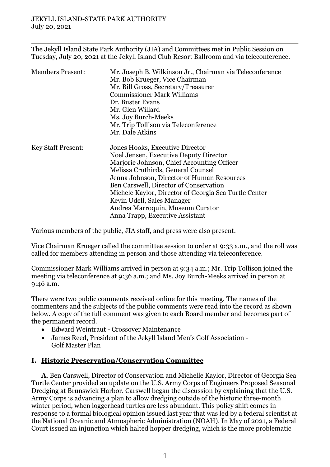The Jekyll Island State Park Authority (JIA) and Committees met in Public Session on Tuesday, July 20, 2021 at the Jekyll Island Club Resort Ballroom and via teleconference.

| <b>Members Present:</b>   | Mr. Joseph B. Wilkinson Jr., Chairman via Teleconference<br>Mr. Bob Krueger, Vice Chairman<br>Mr. Bill Gross, Secretary/Treasurer<br><b>Commissioner Mark Williams</b><br>Dr. Buster Evans<br>Mr. Glen Willard<br>Ms. Joy Burch-Meeks                                                                                                                                                                               |
|---------------------------|---------------------------------------------------------------------------------------------------------------------------------------------------------------------------------------------------------------------------------------------------------------------------------------------------------------------------------------------------------------------------------------------------------------------|
|                           | Mr. Trip Tollison via Teleconference<br>Mr. Dale Atkins                                                                                                                                                                                                                                                                                                                                                             |
| <b>Key Staff Present:</b> | Jones Hooks, Executive Director<br>Noel Jensen, Executive Deputy Director<br>Marjorie Johnson, Chief Accounting Officer<br>Melissa Cruthirds, General Counsel<br>Jenna Johnson, Director of Human Resources<br>Ben Carswell, Director of Conservation<br>Michele Kaylor, Director of Georgia Sea Turtle Center<br>Kevin Udell, Sales Manager<br>Andrea Marroquin, Museum Curator<br>Anna Trapp, Executive Assistant |

Various members of the public, JIA staff, and press were also present.

Vice Chairman Krueger called the committee session to order at 9:33 a.m., and the roll was called for members attending in person and those attending via teleconference.

Commissioner Mark Williams arrived in person at 9:34 a.m.; Mr. Trip Tollison joined the meeting via teleconference at 9:36 a.m.; and Ms. Joy Burch-Meeks arrived in person at 9:46 a.m.

There were two public comments received online for this meeting. The names of the commenters and the subjects of the public comments were read into the record as shown below. A copy of the full comment was given to each Board member and becomes part of the permanent record.

- Edward Weintraut Crossover Maintenance
- James Reed, President of the Jekyll Island Men's Golf Association Golf Master Plan

#### **I. Historic Preservation/Conservation Committee**

**A**. Ben Carswell, Director of Conservation and Michelle Kaylor, Director of Georgia Sea Turtle Center provided an update on the U.S. Army Corps of Engineers Proposed Seasonal Dredging at Brunswick Harbor. Carswell began the discussion by explaining that the U.S. Army Corps is advancing a plan to allow dredging outside of the historic three-month winter period, when loggerhead turtles are less abundant. This policy shift comes in response to a formal biological opinion issued last year that was led by a federal scientist at the National Oceanic and Atmospheric Administration (NOAH). In May of 2021, a Federal Court issued an injunction which halted hopper dredging, which is the more problematic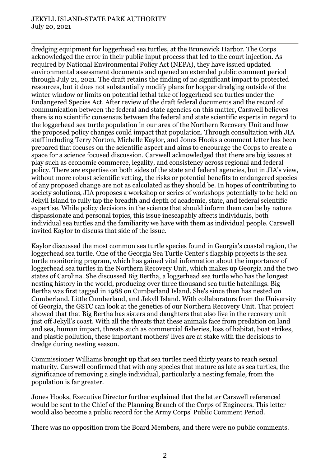#### JEKYLL ISLAND-STATE PARK AUTHORITY July 20, 2021

dredging equipment for loggerhead sea turtles, at the Brunswick Harbor. The Corps acknowledged the error in their public input process that led to the court injection. As required by National Environmental Policy Act (NEPA), they have issued updated environmental assessment documents and opened an extended public comment period through July 21, 2021. The draft retains the finding of no significant impact to protected resources, but it does not substantially modify plans for hopper dredging outside of the winter window or limits on potential lethal take of loggerhead sea turtles under the Endangered Species Act. After review of the draft federal documents and the record of communication between the federal and state agencies on this matter, Carswell believes there is no scientific consensus between the federal and state scientific experts in regard to the loggerhead sea turtle population in our area of the Northern Recovery Unit and how the proposed policy changes could impact that population. Through consultation with JIA staff including Terry Norton, Michelle Kaylor, and Jones Hooks a comment letter has been prepared that focuses on the scientific aspect and aims to encourage the Corps to create a space for a science focused discussion. Carswell acknowledged that there are big issues at play such as economic commerce, legality, and consistency across regional and federal policy. There are expertise on both sides of the state and federal agencies, but in JIA's view, without more robust scientific vetting, the risks or potential benefits to endangered species of any proposed change are not as calculated as they should be. In hopes of contributing to society solutions, JIA proposes a workshop or series of workshops potentially to be held on Jekyll Island to fully tap the breadth and depth of academic, state, and federal scientific expertise. While policy decisions in the science that should inform them can be by nature dispassionate and personal topics, this issue inescapably affects individuals, both individual sea turtles and the familiarity we have with them as individual people. Carswell invited Kaylor to discuss that side of the issue.

Kaylor discussed the most common sea turtle species found in Georgia's coastal region, the loggerhead sea turtle. One of the Georgia Sea Turtle Center's flagship projects is the sea turtle monitoring program, which has gained vital information about the importance of loggerhead sea turtles in the Northern Recovery Unit, which makes up Georgia and the two states of Carolina. She discussed Big Bertha, a loggerhead sea turtle who has the longest nesting history in the world, producing over three thousand sea turtle hatchlings. Big Bertha was first tagged in 1988 on Cumberland Island. She's since then has nested on Cumberland, Little Cumberland, and Jekyll Island. With collaborators from the University of Georgia, the GSTC can look at the genetics of our Northern Recovery Unit. That project showed that that Big Bertha has sisters and daughters that also live in the recovery unit just off Jekyll's coast. With all the threats that these animals face from predation on land and sea, human impact, threats such as commercial fisheries, loss of habitat, boat strikes, and plastic pollution, these important mothers' lives are at stake with the decisions to dredge during nesting season.

Commissioner Williams brought up that sea turtles need thirty years to reach sexual maturity. Carswell confirmed that with any species that mature as late as sea turtles, the significance of removing a single individual, particularly a nesting female, from the population is far greater.

Jones Hooks, Executive Director further explained that the letter Carswell referenced would be sent to the Chief of the Planning Branch of the Corps of Engineers. This letter would also become a public record for the Army Corps' Public Comment Period.

There was no opposition from the Board Members, and there were no public comments.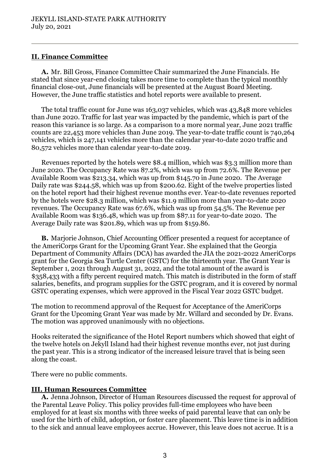# **II. Finance Committee**

**A.** Mr. Bill Gross, Finance Committee Chair summarized the June Financials. He stated that since year-end closing takes more time to complete than the typical monthly financial close-out, June financials will be presented at the August Board Meeting. However, the June traffic statistics and hotel reports were available to present.

The total traffic count for June was 163,037 vehicles, which was 43,848 more vehicles than June 2020. Traffic for last year was impacted by the pandemic, which is part of the reason this variance is so large. As a comparison to a more normal year, June 2021 traffic counts are 22,453 more vehicles than June 2019. The year-to-date traffic count is 740,264 vehicles, which is 247,141 vehicles more than the calendar year-to-date 2020 traffic and 80,572 vehicles more than calendar year-to-date 2019.

Revenues reported by the hotels were \$8.4 million, which was \$3.3 million more than June 2020. The Occupancy Rate was 87.2%, which was up from 72.6%. The Revenue per Available Room was \$213.34, which was up from \$145.70 in June 2020. The Average Daily rate was \$244.58, which was up from \$200.62. Eight of the twelve properties listed on the hotel report had their highest revenue months ever. Year-to-date revenues reported by the hotels were \$28.3 million, which was \$11.9 million more than year-to-date 2020 revenues. The Occupancy Rate was 67.6%, which was up from 54.5%. The Revenue per Available Room was \$136.48, which was up from \$87.11 for year-to-date 2020. The Average Daily rate was \$201.89, which was up from \$159.86.

**B.** Marjorie Johnson, Chief Accounting Officer presented a request for acceptance of the AmeriCorps Grant for the Upcoming Grant Year. She explained that the Georgia Department of Community Affairs (DCA) has awarded the JIA the 2021-2022 AmeriCorps grant for the Georgia Sea Turtle Center (GSTC) for the thirteenth year. The Grant Year is September 1, 2021 through August 31, 2022, and the total amount of the award is \$358,433 with a fifty percent required match. This match is distributed in the form of staff salaries, benefits, and program supplies for the GSTC program, and it is covered by normal GSTC operating expenses, which were approved in the Fiscal Year 2022 GSTC budget.

The motion to recommend approval of the Request for Acceptance of the AmeriCorps Grant for the Upcoming Grant Year was made by Mr. Willard and seconded by Dr. Evans. The motion was approved unanimously with no objections.

Hooks reiterated the significance of the Hotel Report numbers which showed that eight of the twelve hotels on Jekyll Island had their highest revenue months ever, not just during the past year. This is a strong indicator of the increased leisure travel that is being seen along the coast.

There were no public comments.

## **III. Human Resources Committee**

**A.** Jenna Johnson, Director of Human Resources discussed the request for approval of the Parental Leave Policy. This policy provides full-time employees who have been employed for at least six months with three weeks of paid parental leave that can only be used for the birth of child, adoption, or foster care placement. This leave time is in addition to the sick and annual leave employees accrue. However, this leave does not accrue. It is a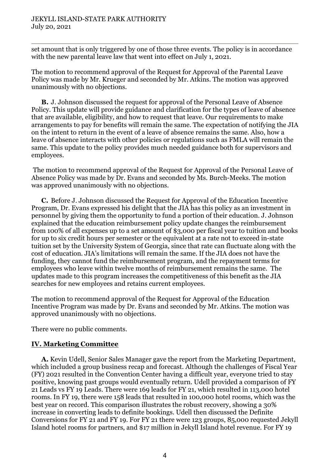set amount that is only triggered by one of those three events. The policy is in accordance with the new parental leave law that went into effect on July 1, 2021.

The motion to recommend approval of the Request for Approval of the Parental Leave Policy was made by Mr. Krueger and seconded by Mr. Atkins. The motion was approved unanimously with no objections.

**B.** J. Johnson discussed the request for approval of the Personal Leave of Absence Policy. This update will provide guidance and clarification for the types of leave of absence that are available, eligibility, and how to request that leave. Our requirements to make arrangements to pay for benefits will remain the same. The expectation of notifying the JIA on the intent to return in the event of a leave of absence remains the same. Also, how a leave of absence interacts with other policies or regulations such as FMLA will remain the same. This update to the policy provides much needed guidance both for supervisors and employees.

The motion to recommend approval of the Request for Approval of the Personal Leave of Absence Policy was made by Dr. Evans and seconded by Ms. Burch-Meeks. The motion was approved unanimously with no objections.

**C.** Before J. Johnson discussed the Request for Approval of the Education Incentive Program, Dr. Evans expressed his delight that the JIA has this policy as an investment in personnel by giving them the opportunity to fund a portion of their education. J. Johnson explained that the education reimbursement policy update changes the reimbursement from 100% of all expenses up to a set amount of \$3,000 per fiscal year to tuition and books for up to six credit hours per semester or the equivalent at a rate not to exceed in-state tuition set by the University System of Georgia, since that rate can fluctuate along with the cost of education. JIA's limitations will remain the same. If the JIA does not have the funding, they cannot fund the reimbursement program, and the repayment terms for employees who leave within twelve months of reimbursement remains the same. The updates made to this program increases the competitiveness of this benefit as the JIA searches for new employees and retains current employees.

The motion to recommend approval of the Request for Approval of the Education Incentive Program was made by Dr. Evans and seconded by Mr. Atkins. The motion was approved unanimously with no objections.

There were no public comments.

## **IV. Marketing Committee**

**A.** Kevin Udell, Senior Sales Manager gave the report from the Marketing Department, which included a group business recap and forecast. Although the challenges of Fiscal Year (FY) 2021 resulted in the Convention Center having a difficult year, everyone tried to stay positive, knowing past groups would eventually return. Udell provided a comparison of FY 21 Leads vs FY 19 Leads. There were 169 leads for FY 21, which resulted in 113,000 hotel rooms. In FY 19, there were 158 leads that resulted in 100,000 hotel rooms, which was the best year on record. This comparison illustrates the robust recovery, showing a 30% increase in converting leads to definite bookings. Udell then discussed the Definite Conversions for FY 21 and FY 19. For FY 21 there were 123 groups, 85,000 requested Jekyll Island hotel rooms for partners, and \$17 million in Jekyll Island hotel revenue. For FY 19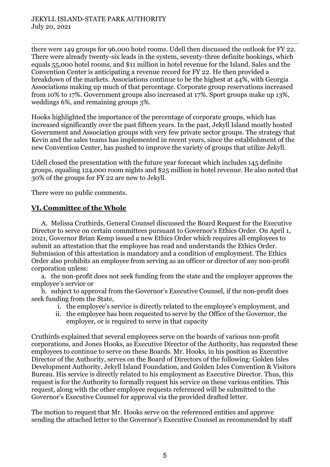there were 149 groups for 96,000 hotel rooms. Udell then discussed the outlook for FY 22. There were already twenty-six leads in the system, seventy-three definite bookings, which equals 55,000 hotel rooms, and \$11 million in hotel revenue for the Island. Sales and the Convention Center is anticipating a revenue record for FY 22. He then provided a breakdown of the markets. Associations continue to be the highest at 44%, with Georgia Associations making up much of that percentage. Corporate group reservations increased from 10% to 17%. Government groups also increased at 17%. Sport groups make up 13%, weddings 6%, and remaining groups 3%.

Hooks highlighted the importance of the percentage of corporate groups, which has increased significantly over the past fifteen years. In the past, Jekyll Island mostly hosted Government and Association groups with very few private sector groups. The strategy that Kevin and the sales teams has implemented in recent years, since the establishment of the new Convention Center, has pushed to improve the variety of groups that utilize Jekyll.

Udell closed the presentation with the future year forecast which includes 145 definite groups, equaling 124,000 room nights and \$25 million in hotel revenue. He also noted that 30% of the groups for FY 22 are new to Jekyll.

There were no public comments.

# **VI. Committee of the Whole**

A. Melissa Cruthirds, General Counsel discussed the Board Request for the Executive Director to serve on certain committees pursuant to Governor's Ethics Order. On April 1, 2021, Governor Brian Kemp issued a new Ethics Order which requires all employees to submit an attestation that the employee has read and understands the Ethics Order. Submission of this attestation is mandatory and a condition of employment. The Ethics Order also prohibits an employee from serving as an officer or director of any non-profit corporation unless:

a. the non-profit does not seek funding from the state and the employer approves the employee's service or

b. subject to approval from the Governor's Executive Counsel, if the non-profit does seek funding from the State,

- i. the employee's service is directly related to the employee's employment, and
- ii. the employee has been requested to serve by the Office of the Governor, the employer, or is required to serve in that capacity

Cruthirds explained that several employees serve on the boards of various non-profit corporations, and Jones Hooks, as Executive Director of the Authority, has requested these employees to continue to serve on these Boards. Mr. Hooks, in his position as Executive Director of the Authority, serves on the Board of Directors of the following: Golden Isles Development Authority, Jekyll Island Foundation, and Golden Isles Convention & Visitors Bureau. His service is directly related to his employment as Executive Director. Thus, this request is for the Authority to formally request his service on these various entities. This request, along with the other employee requests referenced will be submitted to the Governor's Executive Counsel for approval via the provided drafted letter.

The motion to request that Mr. Hooks serve on the referenced entities and approve sending the attached letter to the Governor's Executive Counsel as recommended by staff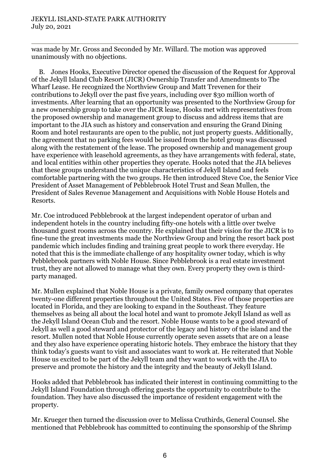was made by Mr. Gross and Seconded by Mr. Willard. The motion was approved unanimously with no objections.

B. Jones Hooks, Executive Director opened the discussion of the Request for Approval of the Jekyll Island Club Resort (JICR) Ownership Transfer and Amendments to The Wharf Lease. He recognized the Northview Group and Matt Trevenen for their contributions to Jekyll over the past five years, including over \$30 million worth of investments. After learning that an opportunity was presented to the Northview Group for a new ownership group to take over the JICR lease, Hooks met with representatives from the proposed ownership and management group to discuss and address items that are important to the JIA such as history and conservation and ensuring the Grand Dining Room and hotel restaurants are open to the public, not just property guests. Additionally, the agreement that no parking fees would be issued from the hotel group was discussed along with the restatement of the lease. The proposed ownership and management group have experience with leasehold agreements, as they have arrangements with federal, state, and local entities within other properties they operate. Hooks noted that the JIA believes that these groups understand the unique characteristics of Jekyll Island and feels comfortable partnering with the two groups. He then introduced Steve Coe, the Senior Vice President of Asset Management of Pebblebrook Hotel Trust and Sean Mullen, the President of Sales Revenue Management and Acquisitions with Noble House Hotels and Resorts.

Mr. Coe introduced Pebblebrook at the largest independent operator of urban and independent hotels in the country including fifty-one hotels with a little over twelve thousand guest rooms across the country. He explained that their vision for the JICR is to fine-tune the great investments made the Northview Group and bring the resort back post pandemic which includes finding and training great people to work there everyday. He noted that this is the immediate challenge of any hospitality owner today, which is why Pebblebrook partners with Noble House. Since Pebblebrook is a real estate investment trust, they are not allowed to manage what they own. Every property they own is thirdparty managed.

Mr. Mullen explained that Noble House is a private, family owned company that operates twenty-one different properties throughout the United States. Five of those properties are located in Florida, and they are looking to expand in the Southeast. They feature themselves as being all about the local hotel and want to promote Jekyll Island as well as the Jekyll Island Ocean Club and the resort. Noble House wants to be a good steward of Jekyll as well a good steward and protector of the legacy and history of the island and the resort. Mullen noted that Noble House currently operate seven assets that are on a lease and they also have experience operating historic hotels. They embrace the history that they think today's guests want to visit and associates want to work at. He reiterated that Noble House us excited to be part of the Jekyll team and they want to work with the JIA to preserve and promote the history and the integrity and the beauty of Jekyll Island.

Hooks added that Pebblebrook has indicated their interest in continuing committing to the Jekyll Island Foundation through offering guests the opportunity to contribute to the foundation. They have also discussed the importance of resident engagement with the property.

Mr. Krueger then turned the discussion over to Melissa Cruthirds, General Counsel. She mentioned that Pebblebrook has committed to continuing the sponsorship of the Shrimp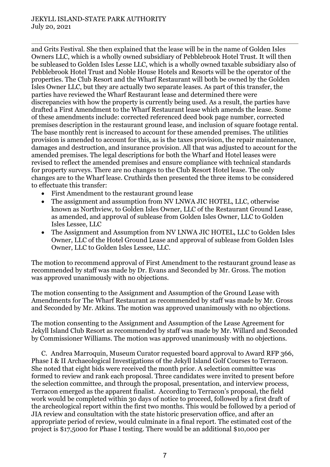and Grits Festival. She then explained that the lease will be in the name of Golden Isles Owners LLC, which is a wholly owned subsidiary of Pebblebrook Hotel Trust. It will then be subleased to Golden Isles Lesse LLC, which is a wholly owned taxable subsidiary also of Pebblebrook Hotel Trust and Noble House Hotels and Resorts will be the operator of the properties. The Club Resort and the Wharf Restaurant will both be owned by the Golden Isles Owner LLC, but they are actually two separate leases. As part of this transfer, the parties have reviewed the Wharf Restaurant lease and determined there were discrepancies with how the property is currently being used. As a result, the parties have drafted a First Amendment to the Wharf Restaurant lease which amends the lease. Some of these amendments include: corrected referenced deed book page number, corrected premises description in the restaurant ground lease, and inclusion of square footage rental. The base monthly rent is increased to account for these amended premises. The utilities provision is amended to account for this, as is the taxes provision, the repair maintenance, damages and destruction, and insurance provision. All that was adjusted to account for the amended premises. The legal descriptions for both the Wharf and Hotel leases were revised to reflect the amended premises and ensure compliance with technical standards for property surveys. There are no changes to the Club Resort Hotel lease. The only changes are to the Wharf lease. Cruthirds then presented the three items to be considered to effectuate this transfer:

- First Amendment to the restaurant ground lease
- The assignment and assumption from NV LNWA JIC HOTEL, LLC, otherwise known as Northview, to Golden Isles Owner, LLC of the Restaurant Ground Lease, as amended, and approval of sublease from Golden Isles Owner, LLC to Golden Isles Lessee, LLC
- The Assignment and Assumption from NV LNWA JIC HOTEL, LLC to Golden Isles Owner, LLC of the Hotel Ground Lease and approval of sublease from Golden Isles Owner, LLC to Golden Isles Lessee, LLC.

The motion to recommend approval of First Amendment to the restaurant ground lease as recommended by staff was made by Dr. Evans and Seconded by Mr. Gross. The motion was approved unanimously with no objections.

The motion consenting to the Assignment and Assumption of the Ground Lease with Amendments for The Wharf Restaurant as recommended by staff was made by Mr. Gross and Seconded by Mr. Atkins. The motion was approved unanimously with no objections.

The motion consenting to the Assignment and Assumption of the Lease Agreement for Jekyll Island Club Resort as recommended by staff was made by Mr. Willard and Seconded by Commissioner Williams. The motion was approved unanimously with no objections.

C. Andrea Marroquin, Museum Curator requested board approval to Award RFP 366, Phase I & II Archaeological Investigations of the Jekyll Island Golf Courses to Terracon. She noted that eight bids were received the month prior. A selection committee was formed to review and rank each proposal. Three candidates were invited to present before the selection committee, and through the proposal, presentation, and interview process, Terracon emerged as the apparent finalist. According to Terracon's proposal, the field work would be completed within 30 days of notice to proceed, followed by a first draft of the archeological report within the first two months. This would be followed by a period of JIA review and consultation with the state historic preservation office, and after an appropriate period of review, would culminate in a final report. The estimated cost of the project is \$17,5000 for Phase I testing. There would be an additional \$10,000 per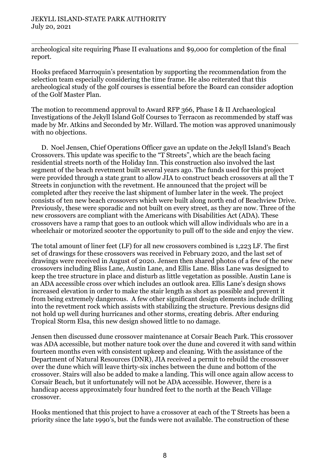archeological site requiring Phase II evaluations and \$9,000 for completion of the final report.

Hooks prefaced Marroquin's presentation by supporting the recommendation from the selection team especially considering the time frame. He also reiterated that this archeological study of the golf courses is essential before the Board can consider adoption of the Golf Master Plan.

The motion to recommend approval to Award RFP 366, Phase I & II Archaeological Investigations of the Jekyll Island Golf Courses to Terracon as recommended by staff was made by Mr. Atkins and Seconded by Mr. Willard. The motion was approved unanimously with no objections.

D. Noel Jensen, Chief Operations Officer gave an update on the Jekyll Island's Beach Crossovers. This update was specific to the "T Streets", which are the beach facing residential streets north of the Holiday Inn. This construction also involved the last segment of the beach revetment built several years ago. The funds used for this project were provided through a state grant to allow JIA to construct beach crossovers at all the T Streets in conjunction with the revetment. He announced that the project will be completed after they receive the last shipment of lumber later in the week. The project consists of ten new beach crossovers which were built along north end of Beachview Drive. Previously, these were sporadic and not built on every street, as they are now. Three of the new crossovers are compliant with the Americans with Disabilities Act (ADA). These crossovers have a ramp that goes to an outlook which will allow individuals who are in a wheelchair or motorized scooter the opportunity to pull off to the side and enjoy the view.

The total amount of liner feet (LF) for all new crossovers combined is 1,223 LF. The first set of drawings for these crossovers was received in February 2020, and the last set of drawings were received in August of 2020. Jensen then shared photos of a few of the new crossovers including Bliss Lane, Austin Lane, and Ellis Lane. Bliss Lane was designed to keep the tree structure in place and disturb as little vegetation as possible. Austin Lane is an ADA accessible cross over which includes an outlook area. Ellis Lane's design shows increased elevation in order to make the stair length as short as possible and prevent it from being extremely dangerous. A few other significant design elements include drilling into the revetment rock which assists with stabilizing the structure. Previous designs did not hold up well during hurricanes and other storms, creating debris. After enduring Tropical Storm Elsa, this new design showed little to no damage.

Jensen then discussed dune crossover maintenance at Corsair Beach Park. This crossover was ADA accessible, but mother nature took over the dune and covered it with sand within fourteen months even with consistent upkeep and cleaning. With the assistance of the Department of Natural Resources (DNR), JIA received a permit to rebuild the crossover over the dune which will leave thirty-six inches between the dune and bottom of the crossover. Stairs will also be added to make a landing. This will once again allow access to Corsair Beach, but it unfortunately will not be ADA accessible. However, there is a handicap access approximately four hundred feet to the north at the Beach Village crossover.

Hooks mentioned that this project to have a crossover at each of the T Streets has been a priority since the late 1990's, but the funds were not available. The construction of these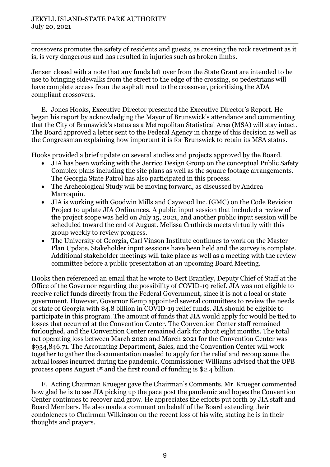crossovers promotes the safety of residents and guests, as crossing the rock revetment as it is, is very dangerous and has resulted in injuries such as broken limbs.

Jensen closed with a note that any funds left over from the State Grant are intended to be use to bringing sidewalks from the street to the edge of the crossing, so pedestrians will have complete access from the asphalt road to the crossover, prioritizing the ADA compliant crossovers.

E. Jones Hooks, Executive Director presented the Executive Director's Report. He began his report by acknowledging the Mayor of Brunswick's attendance and commenting that the City of Brunswick's status as a Metropolitan Statistical Area (MSA) will stay intact. The Board approved a letter sent to the Federal Agency in charge of this decision as well as the Congressman explaining how important it is for Brunswick to retain its MSA status.

Hooks provided a brief update on several studies and projects approved by the Board.

- JIA has been working with the Jerrico Design Group on the conceptual Public Safety Complex plans including the site plans as well as the square footage arrangements. The Georgia State Patrol has also participated in this process.
- The Archeological Study will be moving forward, as discussed by Andrea Marroquin.
- JIA is working with Goodwin Mills and Caywood Inc. (GMC) on the Code Revision Project to update JIA Ordinances. A public input session that included a review of the project scope was held on July 15, 2021, and another public input session will be scheduled toward the end of August. Melissa Cruthirds meets virtually with this group weekly to review progress.
- The University of Georgia, Carl Vinson Institute continues to work on the Master Plan Update. Stakeholder input sessions have been held and the survey is complete. Additional stakeholder meetings will take place as well as a meeting with the review committee before a public presentation at an upcoming Board Meeting.

Hooks then referenced an email that he wrote to Bert Brantley, Deputy Chief of Staff at the Office of the Governor regarding the possibility of COVID-19 relief. JIA was not eligible to receive relief funds directly from the Federal Government, since it is not a local or state government. However, Governor Kemp appointed several committees to review the needs of state of Georgia with \$4.8 billion in COVID-19 relief funds. JIA should be eligible to participate in this program. The amount of funds that JIA would apply for would be tied to losses that occurred at the Convention Center. The Convention Center staff remained furloughed, and the Convention Center remained dark for about eight months. The total net operating loss between March 2020 and March 2021 for the Convention Center was \$934,846.71. The Accounting Department, Sales, and the Convention Center will work together to gather the documentation needed to apply for the relief and recoup some the actual losses incurred during the pandemic. Commissioner Williams advised that the OPB process opens August 1st and the first round of funding is \$2.4 billion.

F. Acting Chairman Krueger gave the Chairman's Comments. Mr. Krueger commented how glad he is to see JIA picking up the pace post the pandemic and hopes the Convention Center continues to recover and grow. He appreciates the efforts put forth by JIA staff and Board Members. He also made a comment on behalf of the Board extending their condolences to Chairman Wilkinson on the recent loss of his wife, stating he is in their thoughts and prayers.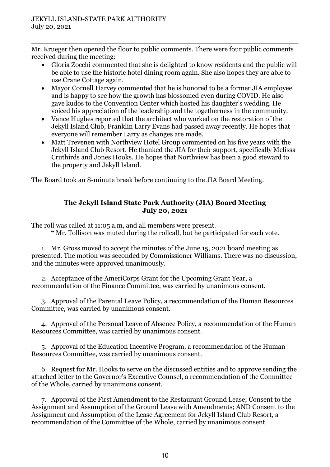Mr. Krueger then opened the floor to public comments. There were four public comments received during the meeting:

- Gloria Zocchi commented that she is delighted to know residents and the public will be able to use the historic hotel dining room again. She also hopes they are able to use Crane Cottage again.
- Mayor Cornell Harvey commented that he is honored to be a former JIA employee and is happy to see how the growth has blossomed even during COVID. He also gave kudos to the Convention Center which hosted his daughter's wedding. He voiced his appreciation of the leadership and the togetherness in the community.
- Vance Hughes reported that the architect who worked on the restoration of the Jekyll Island Club, Franklin Larry Evans had passed away recently. He hopes that everyone will remember Larry as changes are made.
- Matt Trevenen with Northview Hotel Group commented on his five years with the Jekyll Island Club Resort. He thanked the JIA for their support, specifically Melissa Cruthirds and Jones Hooks. He hopes that Northview has been a good steward to the property and Jekyll Island.

The Board took an 8-minute break before continuing to the JIA Board Meeting.

## **The Jekyll Island State Park Authority (JIA) Board Meeting July 20, 2021**

The roll was called at 11:05 a.m, and all members were present.

\* Mr. Tollison was muted during the rollcall, but he participated for each vote.

1. Mr. Gross moved to accept the minutes of the June 15, 2021 board meeting as presented. The motion was seconded by Commissioner Williams. There was no discussion, and the minutes were approved unanimously.

2. Acceptance of the AmeriCorps Grant for the Upcoming Grant Year, a recommendation of the Finance Committee, was carried by unanimous consent.

3. Approval of the Parental Leave Policy, a recommendation of the Human Resources Committee, was carried by unanimous consent.

4. Approval of the Personal Leave of Absence Policy, a recommendation of the Human Resources Committee, was carried by unanimous consent.

5. Approval of the Education Incentive Program, a recommendation of the Human Resources Committee, was carried by unanimous consent.

6. Request for Mr. Hooks to serve on the discussed entities and to approve sending the attached letter to the Governor's Executive Counsel, a recommendation of the Committee of the Whole, carried by unanimous consent.

7. Approval of the First Amendment to the Restaurant Ground Lease; Consent to the Assignment and Assumption of the Ground Lease with Amendments; AND Consent to the Assignment and Assumption of the Lease Agreement for Jekyll Island Club Resort, a recommendation of the Committee of the Whole, carried by unanimous consent.